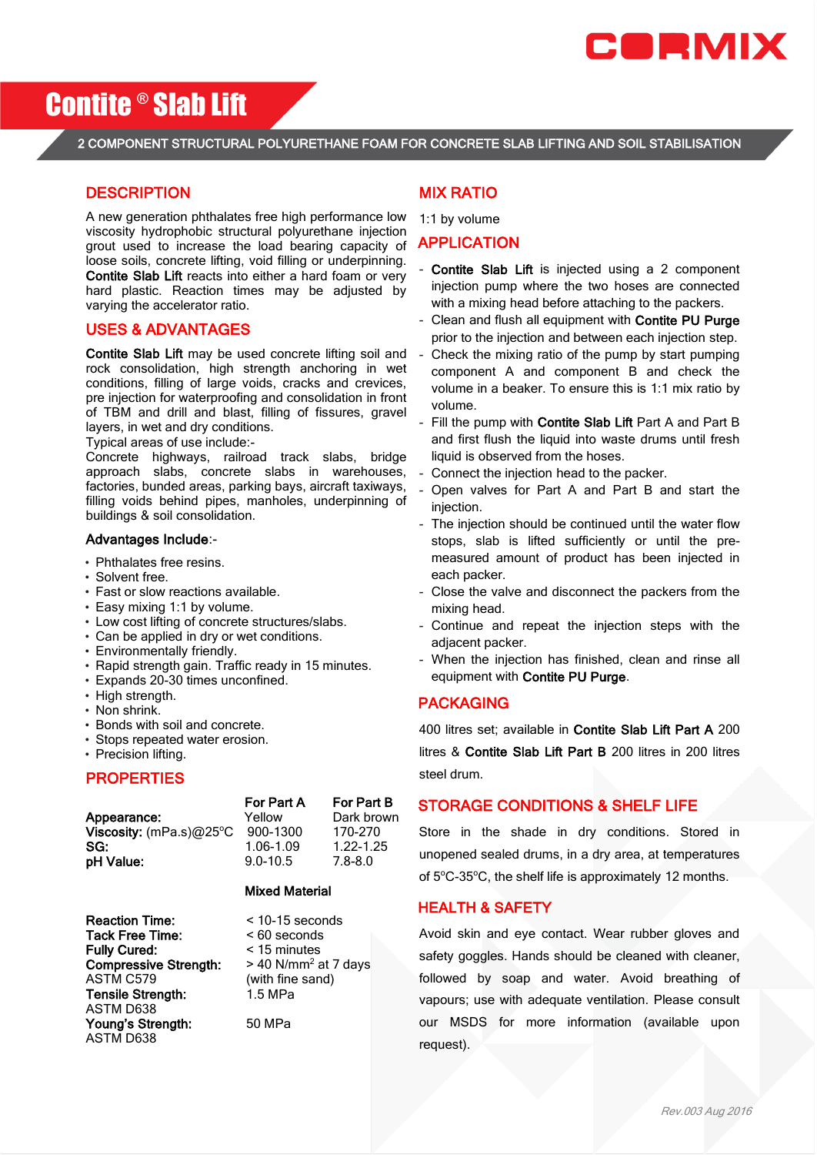

# Contite ® Slab Lift

### 2 COMPONENT STRUCTURAL POLYURETHANE FOAM FOR CONCRETE SLAB LIFTING AND SOIL STABILISATION  $\overline{a}$

## **DESCRIPTION**

A new generation phthalates free high performance low viscosity hydrophobic structural polyurethane injection grout used to increase the load bearing capacity of loose soils, concrete lifting, void filling or underpinning. Contite Slab Lift reacts into either a hard foam or very hard plastic. Reaction times may be adjusted by varying the accelerator ratio.

#### USES & ADVANTAGES

Contite Slab Lift may be used concrete lifting soil and rock consolidation, high strength anchoring in wet conditions, filling of large voids, cracks and crevices, pre injection for waterproofing and consolidation in front of TBM and drill and blast, filling of fissures, gravel layers, in wet and dry conditions.

Typical areas of use include:-

Concrete highways, railroad track slabs, bridge approach slabs, concrete slabs in warehouses, factories, bunded areas, parking bays, aircraft taxiways, filling voids behind pipes, manholes, underpinning of buildings & soil consolidation.

#### Advantages Include:-

- Phthalates free resins.
- Solvent free.
- Fast or slow reactions available.
- Easy mixing 1:1 by volume.
- Low cost lifting of concrete structures/slabs.
- Can be applied in dry or wet conditions.
- Environmentally friendly.
- Rapid strength gain. Traffic ready in 15 minutes.
- Expands 20-30 times unconfined.
- High strength.
- Non shrink.
- Bonds with soil and concrete.
- Stops repeated water erosion.
- Precision lifting.

#### **PROPERTIES**

|                         | For Part A   | For Part B  |
|-------------------------|--------------|-------------|
| Appearance:             | Yellow       | Dark brown  |
| Viscosity: (mPa.s)@25°C | 900-1300     | 170-270     |
| SG:                     | 1.06-1.09    | 1.22-1.25   |
| pH Value:               | $9.0 - 10.5$ | $7.8 - 8.0$ |
|                         |              |             |

#### Mixed Material

Reaction Time:  $\times$  10-15 seconds Tack Free Time: < 60 seconds **Fully Cured:** < 15 minutes<br>**Compressive Strength:** > 40 N/mm<sup>2</sup> at 7 days Compressive Strength: ASTM C579 (with fine sand) Tensile Strength: 1.5 MPa ASTM D638 Young's Strength: 50 MPa ASTM D638

## MIX RATIO

1:1 by volume

#### APPLICATION

- Contite Slab Lift is injected using a 2 component injection pump where the two hoses are connected with a mixing head before attaching to the packers.
- Clean and flush all equipment with Contite PU Purge prior to the injection and between each injection step.
- Check the mixing ratio of the pump by start pumping component A and component B and check the volume in a beaker. To ensure this is 1:1 mix ratio by volume.
- Fill the pump with Contite Slab Lift Part A and Part B and first flush the liquid into waste drums until fresh liquid is observed from the hoses.
- Connect the injection head to the packer.
- Open valves for Part A and Part B and start the injection.
- The injection should be continued until the water flow stops, slab is lifted sufficiently or until the premeasured amount of product has been injected in each packer.
- Close the valve and disconnect the packers from the mixing head.
- Continue and repeat the injection steps with the adjacent packer.
- When the injection has finished, clean and rinse all equipment with Contite PU Purge.

#### PACKAGING

400 litres set; available in Contite Slab Lift Part A 200 litres & Contite Slab Lift Part B 200 litres in 200 litres steel drum.

### STORAGE CONDITIONS & SHELF LIFE

Store in the shade in dry conditions. Stored in unopened sealed drums, in a dry area, at temperatures of  $5^{\circ}$ C-35 $^{\circ}$ C, the shelf life is approximately 12 months.

#### HEALTH & SAFETY

Avoid skin and eye contact. Wear rubber gloves and safety goggles. Hands should be cleaned with cleaner, followed by soap and water. Avoid breathing of vapours; use with adequate ventilation. Please consult our MSDS for more information (available upon request).